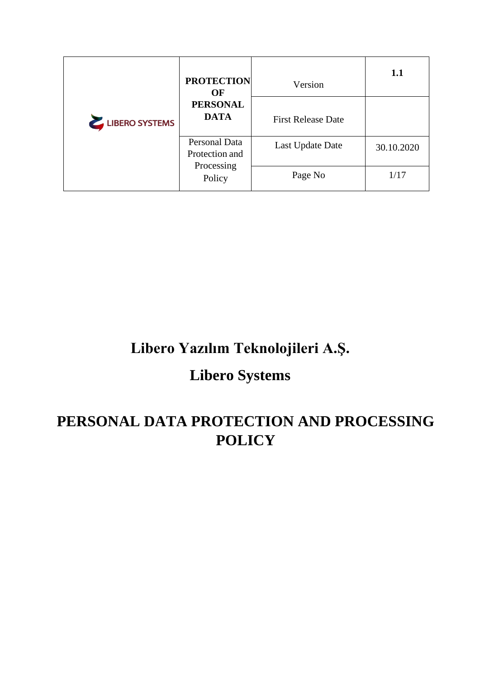| LIBERO SYSTEMS | <b>PROTECTION</b><br>OF         | Version                   | 1.1        |
|----------------|---------------------------------|---------------------------|------------|
|                | <b>PERSONAL</b><br><b>DATA</b>  | <b>First Release Date</b> |            |
|                | Personal Data<br>Protection and | Last Update Date          | 30.10.2020 |
|                | Processing<br>Policy            | Page No                   | 1/17       |

# **Libero Yazılım Teknolojileri A.Ş.**

# **Libero Systems**

# **PERSONAL DATA PROTECTION AND PROCESSING POLICY**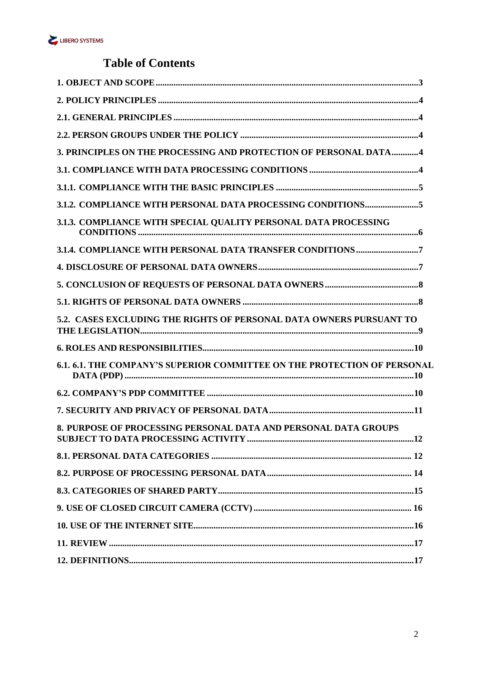

## **Table of Contents**

| 3. PRINCIPLES ON THE PROCESSING AND PROTECTION OF PERSONAL DATA4                |
|---------------------------------------------------------------------------------|
|                                                                                 |
|                                                                                 |
| 3.1.2. COMPLIANCE WITH PERSONAL DATA PROCESSING CONDITIONS5                     |
| 3.1.3. COMPLIANCE WITH SPECIAL QUALITY PERSONAL DATA PROCESSING                 |
| 3.1.4. COMPLIANCE WITH PERSONAL DATA TRANSFER CONDITIONS 7                      |
|                                                                                 |
|                                                                                 |
|                                                                                 |
| 5.2. CASES EXCLUDING THE RIGHTS OF PERSONAL DATA OWNERS PURSUANT TO             |
|                                                                                 |
| <b>6.1. 6.1. THE COMPANY'S SUPERIOR COMMITTEE ON THE PROTECTION OF PERSONAL</b> |
|                                                                                 |
|                                                                                 |
| 8. PURPOSE OF PROCESSING PERSONAL DATA AND PERSONAL DATA GROUPS                 |
|                                                                                 |
|                                                                                 |
|                                                                                 |
|                                                                                 |
|                                                                                 |
|                                                                                 |
|                                                                                 |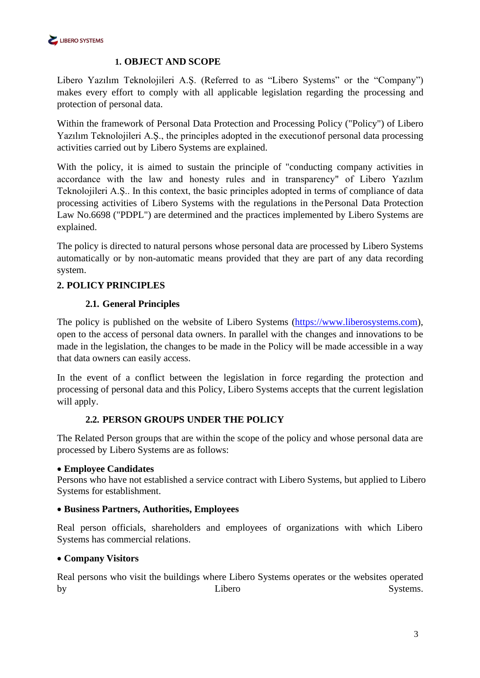

### <span id="page-2-0"></span>**1. OBJECT AND SCOPE**

Libero Yazılım Teknolojileri A.Ş. (Referred to as "Libero Systems" or the "Company") makes every effort to comply with all applicable legislation regarding the processing and protection of personal data.

Within the framework of Personal Data Protection and Processing Policy ("Policy") of Libero Yazılım Teknolojileri A.Ş., the principles adopted in the executionof personal data processing activities carried out by Libero Systems are explained.

With the policy, it is aimed to sustain the principle of "conducting company activities in accordance with the law and honesty rules and in transparency" of Libero Yazılım Teknolojileri A.Ş.. In this context, the basic principles adopted in terms of compliance of data processing activities of Libero Systems with the regulations in thePersonal Data Protection Law No.6698 ("PDPL") are determined and the practices implemented by Libero Systems are explained.

The policy is directed to natural persons whose personal data are processed by Libero Systems automatically or by non-automatic means provided that they are part of any data recording system.

## <span id="page-2-2"></span><span id="page-2-1"></span>**2. POLICY PRINCIPLES**

## **2.1. General Principles**

The policy is published on the website of Libero Systems [\(https://www.liberosystems.com\)](https://www.liberosystems.com/), open to the access of personal data owners. In parallel with the changes and innovations to be made in the legislation, the changes to be made in the Policy will be made accessible in a way that data owners can easily access.

In the event of a conflict between the legislation in force regarding the protection and processing of personal data and this Policy, Libero Systems accepts that the current legislation will apply.

#### **2.2. PERSON GROUPS UNDER THE POLICY**

<span id="page-2-3"></span>The Related Person groups that are within the scope of the policy and whose personal data are processed by Libero Systems are as follows:

#### • **Employee Candidates**

Persons who have not established a service contract with Libero Systems, but applied to Libero Systems for establishment.

#### • **Business Partners, Authorities, Employees**

Real person officials, shareholders and employees of organizations with which Libero Systems has commercial relations.

#### • **Company Visitors**

Real persons who visit the buildings where Libero Systems operates or the websites operated by Eibero Systems.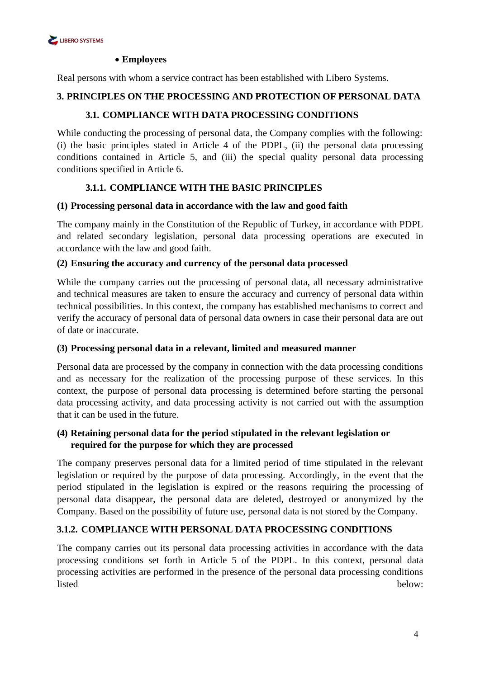

#### • **Employees**

Real persons with whom a service contract has been established with Libero Systems.

#### <span id="page-3-1"></span><span id="page-3-0"></span>**3. PRINCIPLES ON THE PROCESSING AND PROTECTION OF PERSONAL DATA**

### **3.1. COMPLIANCE WITH DATA PROCESSING CONDITIONS**

While conducting the processing of personal data, the Company complies with the following: (i) the basic principles stated in Article 4 of the PDPL, (ii) the personal data processing conditions contained in Article 5, and (iii) the special quality personal data processing conditions specified in Article 6.

## **3.1.1. COMPLIANCE WITH THE BASIC PRINCIPLES**

#### <span id="page-3-2"></span>**(1) Processing personal data in accordance with the law and good faith**

The company mainly in the Constitution of the Republic of Turkey, in accordance with PDPL and related secondary legislation, personal data processing operations are executed in accordance with the law and good faith.

#### **(2) Ensuring the accuracy and currency of the personal data processed**

While the company carries out the processing of personal data, all necessary administrative and technical measures are taken to ensure the accuracy and currency of personal data within technical possibilities. In this context, the company has established mechanisms to correct and verify the accuracy of personal data of personal data owners in case their personal data are out of date or inaccurate.

#### **(3) Processing personal data in a relevant, limited and measured manner**

Personal data are processed by the company in connection with the data processing conditions and as necessary for the realization of the processing purpose of these services. In this context, the purpose of personal data processing is determined before starting the personal data processing activity, and data processing activity is not carried out with the assumption that it can be used in the future.

## **(4) Retaining personal data for the period stipulated in the relevant legislation or required for the purpose for which they are processed**

The company preserves personal data for a limited period of time stipulated in the relevant legislation or required by the purpose of data processing. Accordingly, in the event that the period stipulated in the legislation is expired or the reasons requiring the processing of personal data disappear, the personal data are deleted, destroyed or anonymized by the Company. Based on the possibility of future use, personal data is not stored by the Company.

#### <span id="page-3-3"></span>**3.1.2. COMPLIANCE WITH PERSONAL DATA PROCESSING CONDITIONS**

The company carries out its personal data processing activities in accordance with the data processing conditions set forth in Article 5 of the PDPL. In this context, personal data processing activities are performed in the presence of the personal data processing conditions listed below: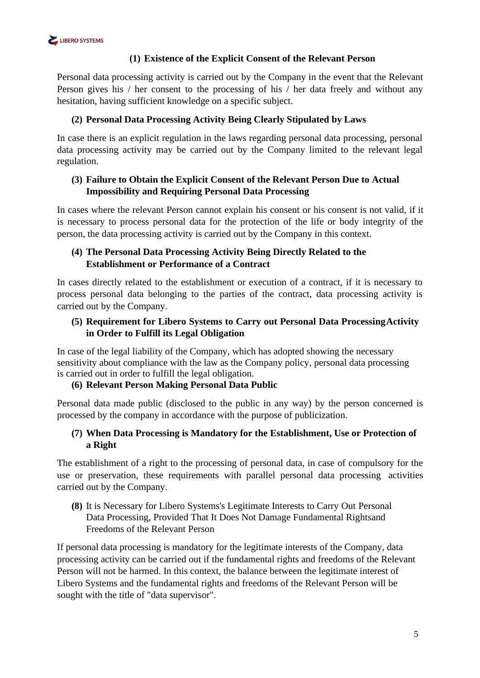

## **(1) Existence of the Explicit Consent of the Relevant Person**

Personal data processing activity is carried out by the Company in the event that the Relevant Person gives his / her consent to the processing of his / her data freely and without any hesitation, having sufficient knowledge on a specific subject.

## **(2) Personal Data Processing Activity Being Clearly Stipulated by Laws**

In case there is an explicit regulation in the laws regarding personal data processing, personal data processing activity may be carried out by the Company limited to the relevant legal regulation.

### **(3) Failure to Obtain the Explicit Consent of the Relevant Person Due to Actual Impossibility and Requiring Personal Data Processing**

In cases where the relevant Person cannot explain his consent or his consent is not valid, if it is necessary to process personal data for the protection of the life or body integrity of the person, the data processing activity is carried out by the Company in this context.

## **(4) The Personal Data Processing Activity Being Directly Related to the Establishment or Performance of a Contract**

In cases directly related to the establishment or execution of a contract, if it is necessary to process personal data belonging to the parties of the contract, data processing activity is carried out by the Company.

### **(5) Requirement for Libero Systems to Carry out Personal Data ProcessingActivity in Order to Fulfill its Legal Obligation**

In case of the legal liability of the Company, which has adopted showing the necessary sensitivity about compliance with the law as the Company policy, personal data processing is carried out in order to fulfill the legal obligation.

#### **(6) Relevant Person Making Personal Data Public**

Personal data made public (disclosed to the public in any way) by the person concerned is processed by the company in accordance with the purpose of publicization.

#### **(7) When Data Processing is Mandatory for the Establishment, Use or Protection of a Right**

The establishment of a right to the processing of personal data, in case of compulsory for the use or preservation, these requirements with parallel personal data processing activities carried out by the Company.

**(8)** It is Necessary for Libero Systems's Legitimate Interests to Carry Out Personal Data Processing, Provided That It Does Not Damage Fundamental Rightsand Freedoms of the Relevant Person

If personal data processing is mandatory for the legitimate interests of the Company, data processing activity can be carried out if the fundamental rights and freedoms of the Relevant Person will not be harmed. In this context, the balance between the legitimate interest of Libero Systems and the fundamental rights and freedoms of the Relevant Person will be sought with the title of "data supervisor".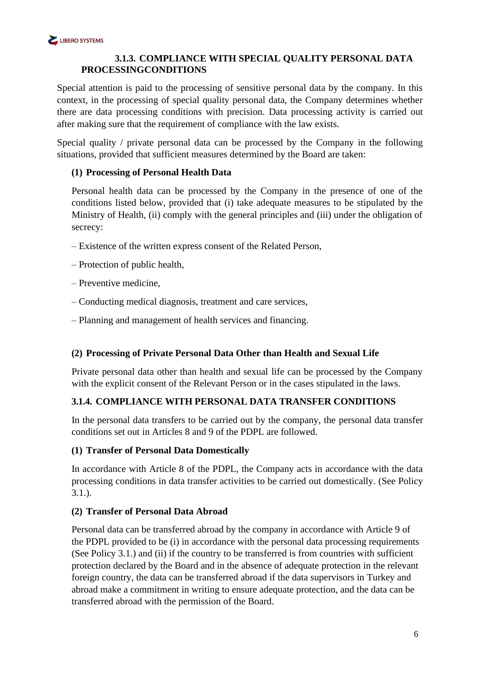## <span id="page-5-0"></span>**3.1.3. COMPLIANCE WITH SPECIAL QUALITY PERSONAL DATA PROCESSINGCONDITIONS**

Special attention is paid to the processing of sensitive personal data by the company. In this context, in the processing of special quality personal data, the Company determines whether there are data processing conditions with precision. Data processing activity is carried out after making sure that the requirement of compliance with the law exists.

Special quality / private personal data can be processed by the Company in the following situations, provided that sufficient measures determined by the Board are taken:

## **(1) Processing of Personal Health Data**

Personal health data can be processed by the Company in the presence of one of the conditions listed below, provided that (i) take adequate measures to be stipulated by the Ministry of Health, (ii) comply with the general principles and (iii) under the obligation of secrecy:

- Existence of the written express consent of the Related Person,
- Protection of public health,
- Preventive medicine,
- Conducting medical diagnosis, treatment and care services,
- Planning and management of health services and financing.

#### **(2) Processing of Private Personal Data Other than Health and Sexual Life**

Private personal data other than health and sexual life can be processed by the Company with the explicit consent of the Relevant Person or in the cases stipulated in the laws.

#### <span id="page-5-1"></span>**3.1.4. COMPLIANCE WITH PERSONAL DATA TRANSFER CONDITIONS**

In the personal data transfers to be carried out by the company, the personal data transfer conditions set out in Articles 8 and 9 of the PDPL are followed.

## **(1) Transfer of Personal Data Domestically**

In accordance with Article 8 of the PDPL, the Company acts in accordance with the data processing conditions in data transfer activities to be carried out domestically. (See Policy 3.1.).

#### **(2) Transfer of Personal Data Abroad**

Personal data can be transferred abroad by the company in accordance with Article 9 of the PDPL provided to be (i) in accordance with the personal data processing requirements (See Policy 3.1.) and (ii) if the country to be transferred is from countries with sufficient protection declared by the Board and in the absence of adequate protection in the relevant foreign country, the data can be transferred abroad if the data supervisors in Turkey and abroad make a commitment in writing to ensure adequate protection, and the data can be transferred abroad with the permission of the Board.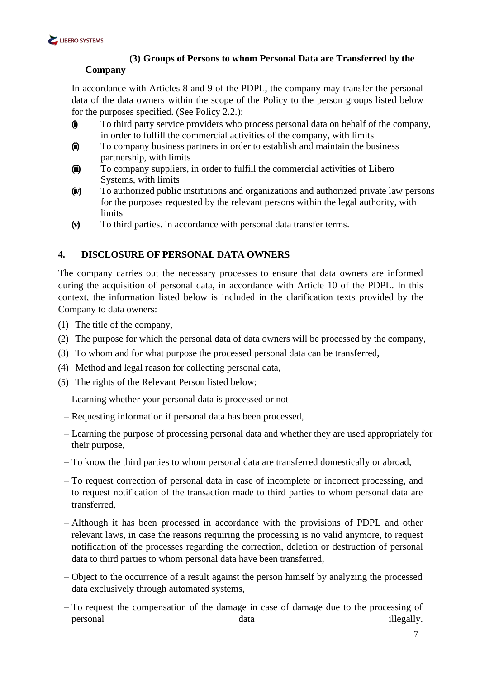

## **(3) Groups of Persons to whom Personal Data are Transferred by the**

## **Company**

In accordance with Articles 8 and 9 of the PDPL, the company may transfer the personal data of the data owners within the scope of the Policy to the person groups listed below for the purposes specified. (See Policy 2.2.):

- **(i)** To third party service providers who process personal data on behalf of the company, in order to fulfill the commercial activities of the company, with limits
- **(ii)** To company business partners in order to establish and maintain the business partnership, with limits
- **(iii)** To company suppliers, in order to fulfill the commercial activities of Libero Systems, with limits
- **(iv)** To authorized public institutions and organizations and authorized private law persons for the purposes requested by the relevant persons within the legal authority, with limits
- **(v)** To third parties. in accordance with personal data transfer terms.

## <span id="page-6-0"></span>**4. DISCLOSURE OF PERSONAL DATA OWNERS**

The company carries out the necessary processes to ensure that data owners are informed during the acquisition of personal data, in accordance with Article 10 of the PDPL. In this context, the information listed below is included in the clarification texts provided by the Company to data owners:

- (1) The title of the company,
- (2) The purpose for which the personal data of data owners will be processed by the company,
- (3) To whom and for what purpose the processed personal data can be transferred,
- (4) Method and legal reason for collecting personal data,
- (5) The rights of the Relevant Person listed below;
	- Learning whether your personal data is processed or not
	- Requesting information if personal data has been processed,
	- Learning the purpose of processing personal data and whether they are used appropriately for their purpose,
	- To know the third parties to whom personal data are transferred domestically or abroad,
	- To request correction of personal data in case of incomplete or incorrect processing, and to request notification of the transaction made to third parties to whom personal data are transferred,
	- Although it has been processed in accordance with the provisions of PDPL and other relevant laws, in case the reasons requiring the processing is no valid anymore, to request notification of the processes regarding the correction, deletion or destruction of personal data to third parties to whom personal data have been transferred,
	- Object to the occurrence of a result against the person himself by analyzing the processed data exclusively through automated systems,
	- To request the compensation of the damage in case of damage due to the processing of personal data illegally.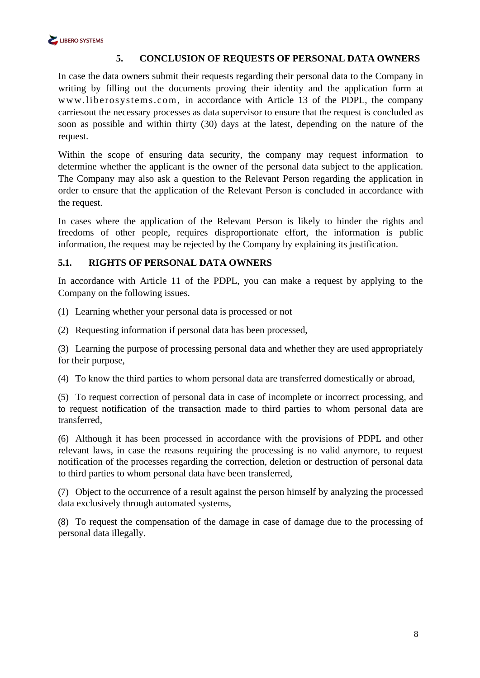## <span id="page-7-0"></span>**5. CONCLUSION OF REQUESTS OF PERSONAL DATA OWNERS**

In case the data owners submit their requests regarding their personal data to the Company in writing by filling out the documents proving their identity and the application form at [www.liberosystems.com, i](https://www.liberosystems.com/)n accordance with Article 13 of the PDPL, the company carriesout the necessary processes as data supervisor to ensure that the request is concluded as soon as possible and within thirty (30) days at the latest, depending on the nature of the request.

Within the scope of ensuring data security, the company may request information to determine whether the applicant is the owner of the personal data subject to the application. The Company may also ask a question to the Relevant Person regarding the application in order to ensure that the application of the Relevant Person is concluded in accordance with the request.

In cases where the application of the Relevant Person is likely to hinder the rights and freedoms of other people, requires disproportionate effort, the information is public information, the request may be rejected by the Company by explaining its justification.

#### <span id="page-7-1"></span>**5.1. RIGHTS OF PERSONAL DATA OWNERS**

In accordance with Article 11 of the PDPL, you can make a request by applying to the Company on the following issues.

(1) Learning whether your personal data is processed or not

(2) Requesting information if personal data has been processed,

(3) Learning the purpose of processing personal data and whether they are used appropriately for their purpose,

(4) To know the third parties to whom personal data are transferred domestically or abroad,

(5) To request correction of personal data in case of incomplete or incorrect processing, and to request notification of the transaction made to third parties to whom personal data are transferred,

(6) Although it has been processed in accordance with the provisions of PDPL and other relevant laws, in case the reasons requiring the processing is no valid anymore, to request notification of the processes regarding the correction, deletion or destruction of personal data to third parties to whom personal data have been transferred,

(7) Object to the occurrence of a result against the person himself by analyzing the processed data exclusively through automated systems,

(8) To request the compensation of the damage in case of damage due to the processing of personal data illegally.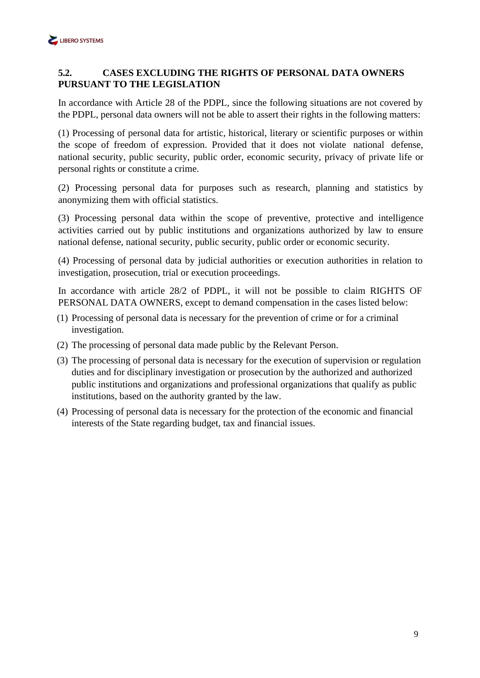## <span id="page-8-0"></span>**5.2. CASES EXCLUDING THE RIGHTS OF PERSONAL DATA OWNERS PURSUANT TO THE LEGISLATION**

In accordance with Article 28 of the PDPL, since the following situations are not covered by the PDPL, personal data owners will not be able to assert their rights in the following matters:

(1) Processing of personal data for artistic, historical, literary or scientific purposes or within the scope of freedom of expression. Provided that it does not violate national defense, national security, public security, public order, economic security, privacy of private life or personal rights or constitute a crime.

(2) Processing personal data for purposes such as research, planning and statistics by anonymizing them with official statistics.

(3) Processing personal data within the scope of preventive, protective and intelligence activities carried out by public institutions and organizations authorized by law to ensure national defense, national security, public security, public order or economic security.

(4) Processing of personal data by judicial authorities or execution authorities in relation to investigation, prosecution, trial or execution proceedings.

In accordance with article 28/2 of PDPL, it will not be possible to claim RIGHTS OF PERSONAL DATA OWNERS, except to demand compensation in the cases listed below:

- (1) Processing of personal data is necessary for the prevention of crime or for a criminal investigation.
- (2) The processing of personal data made public by the Relevant Person.
- (3) The processing of personal data is necessary for the execution of supervision or regulation duties and for disciplinary investigation or prosecution by the authorized and authorized public institutions and organizations and professional organizations that qualify as public institutions, based on the authority granted by the law.
- (4) Processing of personal data is necessary for the protection of the economic and financial interests of the State regarding budget, tax and financial issues.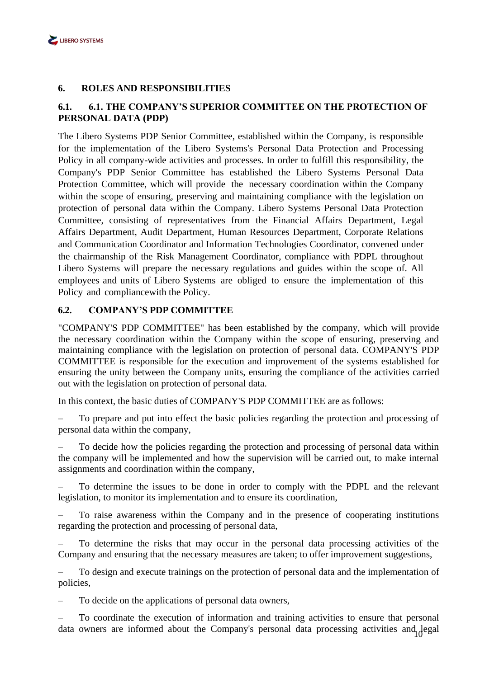

#### <span id="page-9-0"></span>**6. ROLES AND RESPONSIBILITIES**

### <span id="page-9-1"></span>**6.1. 6.1. THE COMPANY'S SUPERIOR COMMITTEE ON THE PROTECTION OF PERSONAL DATA (PDP)**

The Libero Systems PDP Senior Committee, established within the Company, is responsible for the implementation of the Libero Systems's Personal Data Protection and Processing Policy in all company-wide activities and processes. In order to fulfill this responsibility, the Company's PDP Senior Committee has established the Libero Systems Personal Data Protection Committee, which will provide the necessary coordination within the Company within the scope of ensuring, preserving and maintaining compliance with the legislation on protection of personal data within the Company. Libero Systems Personal Data Protection Committee, consisting of representatives from the Financial Affairs Department, Legal Affairs Department, Audit Department, Human Resources Department, Corporate Relations and Communication Coordinator and Information Technologies Coordinator, convened under the chairmanship of the Risk Management Coordinator, compliance with PDPL throughout Libero Systems will prepare the necessary regulations and guides within the scope of. All employees and units of Libero Systems are obliged to ensure the implementation of this Policy and compliancewith the Policy.

#### <span id="page-9-2"></span>**6.2. COMPANY'S PDP COMMITTEE**

"COMPANY'S PDP COMMITTEE" has been established by the company, which will provide the necessary coordination within the Company within the scope of ensuring, preserving and maintaining compliance with the legislation on protection of personal data. COMPANY'S PDP COMMITTEE is responsible for the execution and improvement of the systems established for ensuring the unity between the Company units, ensuring the compliance of the activities carried out with the legislation on protection of personal data.

In this context, the basic duties of COMPANY'S PDP COMMITTEE are as follows:

– To prepare and put into effect the basic policies regarding the protection and processing of personal data within the company,

– To decide how the policies regarding the protection and processing of personal data within the company will be implemented and how the supervision will be carried out, to make internal assignments and coordination within the company,

– To determine the issues to be done in order to comply with the PDPL and the relevant legislation, to monitor its implementation and to ensure its coordination,

– To raise awareness within the Company and in the presence of cooperating institutions regarding the protection and processing of personal data,

– To determine the risks that may occur in the personal data processing activities of the Company and ensuring that the necessary measures are taken; to offer improvement suggestions,

– To design and execute trainings on the protection of personal data and the implementation of policies,

– To decide on the applications of personal data owners,

data owners are informed about the Company's personal data processing activities and legal – To coordinate the execution of information and training activities to ensure that personal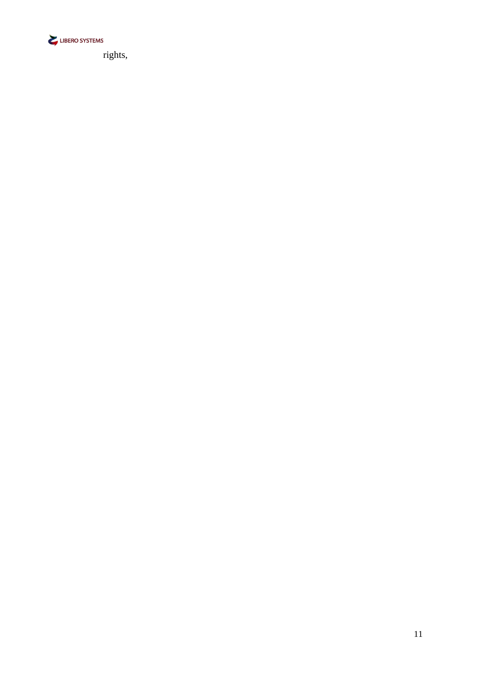

rights,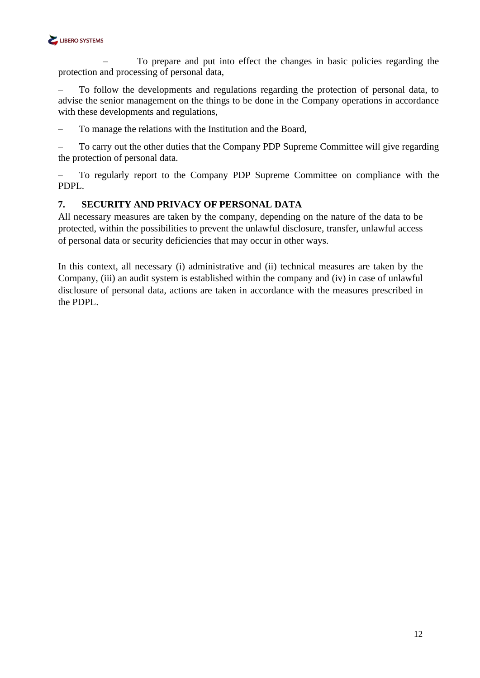

– To prepare and put into effect the changes in basic policies regarding the protection and processing of personal data,

– To follow the developments and regulations regarding the protection of personal data, to advise the senior management on the things to be done in the Company operations in accordance with these developments and regulations,

– To manage the relations with the Institution and the Board,

– To carry out the other duties that the Company PDP Supreme Committee will give regarding the protection of personal data.

– To regularly report to the Company PDP Supreme Committee on compliance with the PDPL.

#### <span id="page-11-0"></span>**7. SECURITY AND PRIVACY OF PERSONAL DATA**

All necessary measures are taken by the company, depending on the nature of the data to be protected, within the possibilities to prevent the unlawful disclosure, transfer, unlawful access of personal data or security deficiencies that may occur in other ways.

In this context, all necessary (i) administrative and (ii) technical measures are taken by the Company, (iii) an audit system is established within the company and (iv) in case of unlawful disclosure of personal data, actions are taken in accordance with the measures prescribed in the PDPL.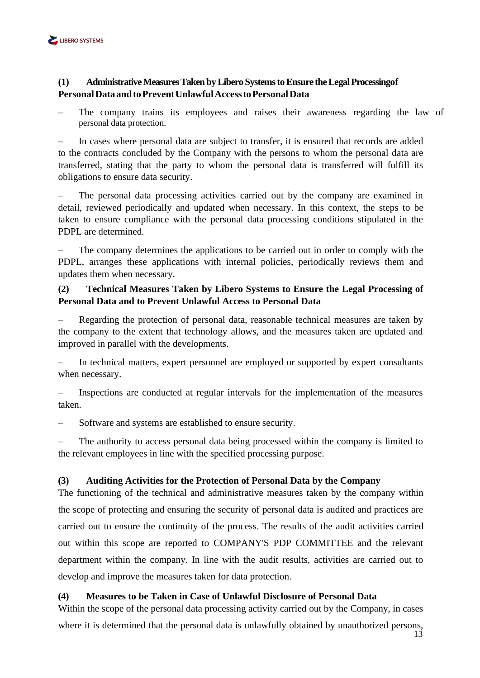

## **(1) AdministrativeMeasuresTaken byLibero SystemstoEnsure theLegalProcessingof PersonalDataandtoPreventUnlawfulAccesstoPersonalData**

The company trains its employees and raises their awareness regarding the law of personal data protection.

– In cases where personal data are subject to transfer, it is ensured that records are added to the contracts concluded by the Company with the persons to whom the personal data are transferred, stating that the party to whom the personal data is transferred will fulfill its obligations to ensure data security.

– The personal data processing activities carried out by the company are examined in detail, reviewed periodically and updated when necessary. In this context, the steps to be taken to ensure compliance with the personal data processing conditions stipulated in the PDPL are determined.

– The company determines the applications to be carried out in order to comply with the PDPL, arranges these applications with internal policies, periodically reviews them and updates them when necessary.

## **(2) Technical Measures Taken by Libero Systems to Ensure the Legal Processing of Personal Data and to Prevent Unlawful Access to Personal Data**

– Regarding the protection of personal data, reasonable technical measures are taken by the company to the extent that technology allows, and the measures taken are updated and improved in parallel with the developments.

– In technical matters, expert personnel are employed or supported by expert consultants when necessary.

– Inspections are conducted at regular intervals for the implementation of the measures taken.

Software and systems are established to ensure security.

The authority to access personal data being processed within the company is limited to the relevant employees in line with the specified processing purpose.

#### **(3) Auditing Activities for the Protection of Personal Data by the Company**

The functioning of the technical and administrative measures taken by the company within the scope of protecting and ensuring the security of personal data is audited and practices are carried out to ensure the continuity of the process. The results of the audit activities carried out within this scope are reported to COMPANY'S PDP COMMITTEE and the relevant department within the company. In line with the audit results, activities are carried out to develop and improve the measures taken for data protection.

#### **(4) Measures to be Taken in Case of Unlawful Disclosure of Personal Data**

Within the scope of the personal data processing activity carried out by the Company, in cases where it is determined that the personal data is unlawfully obtained by unauthorized persons,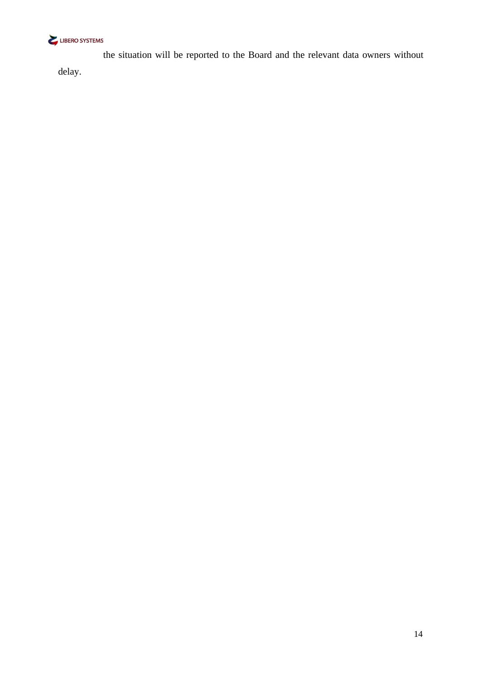

the situation will be reported to the Board and the relevant data owners without delay.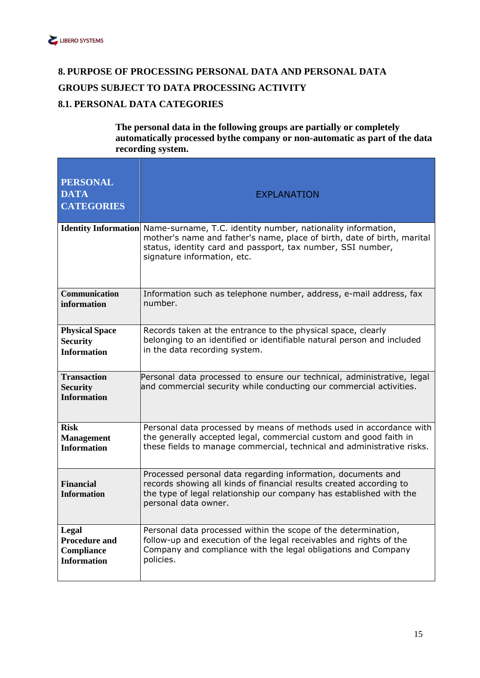

## <span id="page-14-1"></span><span id="page-14-0"></span>**8. PURPOSE OF PROCESSING PERSONAL DATA AND PERSONAL DATA GROUPS SUBJECT TO DATA PROCESSING ACTIVITY 8.1. PERSONAL DATA CATEGORIES**

#### **The personal data in the following groups are partially or completely automatically processed bythe company or non-automatic as part of the data recording system.**

| <b>PERSONAL</b><br><b>DATA</b><br><b>CATEGORIES</b>         | <b>EXPLANATION</b>                                                                                                                                                                                                                    |
|-------------------------------------------------------------|---------------------------------------------------------------------------------------------------------------------------------------------------------------------------------------------------------------------------------------|
| <b>Identity Information</b>                                 | Name-surname, T.C. identity number, nationality information,<br>mother's name and father's name, place of birth, date of birth, marital<br>status, identity card and passport, tax number, SSI number,<br>signature information, etc. |
| <b>Communication</b>                                        | Information such as telephone number, address, e-mail address, fax                                                                                                                                                                    |
| information                                                 | number.                                                                                                                                                                                                                               |
| <b>Physical Space</b>                                       | Records taken at the entrance to the physical space, clearly                                                                                                                                                                          |
| <b>Security</b>                                             | belonging to an identified or identifiable natural person and included                                                                                                                                                                |
| <b>Information</b>                                          | in the data recording system.                                                                                                                                                                                                         |
| <b>Transaction</b><br><b>Security</b><br><b>Information</b> | Personal data processed to ensure our technical, administrative, legal<br>and commercial security while conducting our commercial activities.                                                                                         |
| <b>Risk</b>                                                 | Personal data processed by means of methods used in accordance with                                                                                                                                                                   |
| <b>Management</b>                                           | the generally accepted legal, commercial custom and good faith in                                                                                                                                                                     |
| <b>Information</b>                                          | these fields to manage commercial, technical and administrative risks.                                                                                                                                                                |
| <b>Financial</b><br><b>Information</b>                      | Processed personal data regarding information, documents and<br>records showing all kinds of financial results created according to<br>the type of legal relationship our company has established with the<br>personal data owner.    |
| Legal                                                       | Personal data processed within the scope of the determination,                                                                                                                                                                        |
| <b>Procedure and</b>                                        | follow-up and execution of the legal receivables and rights of the                                                                                                                                                                    |
| Compliance                                                  | Company and compliance with the legal obligations and Company                                                                                                                                                                         |
| <b>Information</b>                                          | policies.                                                                                                                                                                                                                             |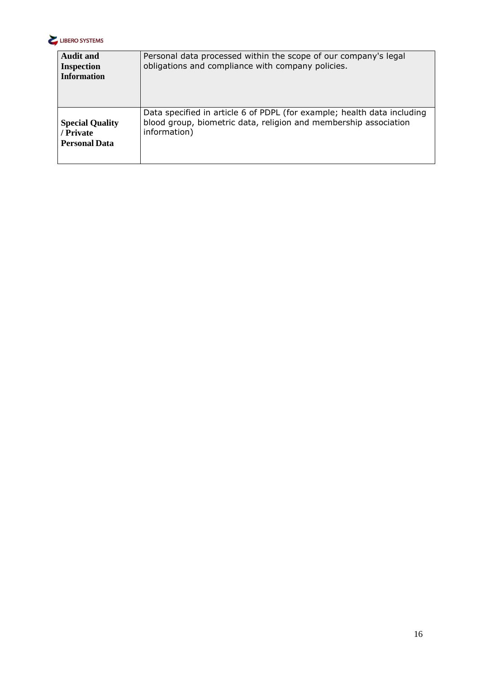

| <b>Audit and</b><br><b>Inspection</b><br><b>Information</b> | Personal data processed within the scope of our company's legal<br>obligations and compliance with company policies. |
|-------------------------------------------------------------|----------------------------------------------------------------------------------------------------------------------|
| <b>Special Quality</b>                                      | Data specified in article 6 of PDPL (for example; health data including                                              |
| / Private                                                   | blood group, biometric data, religion and membership association                                                     |
| <b>Personal Data</b>                                        | information)                                                                                                         |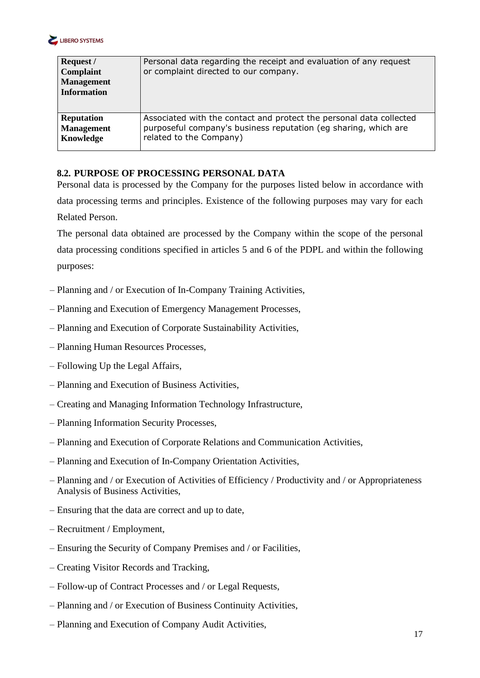

| Request /<br>Complaint<br><b>Management</b><br><b>Information</b> | Personal data regarding the receipt and evaluation of any request<br>or complaint directed to our company. |
|-------------------------------------------------------------------|------------------------------------------------------------------------------------------------------------|
| <b>Reputation</b>                                                 | Associated with the contact and protect the personal data collected                                        |
| <b>Management</b>                                                 | purposeful company's business reputation (eg sharing, which are                                            |
| Knowledge                                                         | related to the Company)                                                                                    |

## <span id="page-16-0"></span>**8.2. PURPOSE OF PROCESSING PERSONAL DATA**

Personal data is processed by the Company for the purposes listed below in accordance with data processing terms and principles. Existence of the following purposes may vary for each Related Person.

The personal data obtained are processed by the Company within the scope of the personal data processing conditions specified in articles 5 and 6 of the PDPL and within the following purposes:

- Planning and / or Execution of In-Company Training Activities,
- Planning and Execution of Emergency Management Processes,
- Planning and Execution of Corporate Sustainability Activities,
- Planning Human Resources Processes,
- Following Up the Legal Affairs,
- Planning and Execution of Business Activities,
- Creating and Managing Information Technology Infrastructure,
- Planning Information Security Processes,
- Planning and Execution of Corporate Relations and Communication Activities,
- Planning and Execution of In-Company Orientation Activities,
- Planning and / or Execution of Activities of Efficiency / Productivity and / or Appropriateness Analysis of Business Activities,
- Ensuring that the data are correct and up to date,
- Recruitment / Employment,
- Ensuring the Security of Company Premises and / or Facilities,
- Creating Visitor Records and Tracking,
- Follow-up of Contract Processes and / or Legal Requests,
- Planning and / or Execution of Business Continuity Activities,
- Planning and Execution of Company Audit Activities,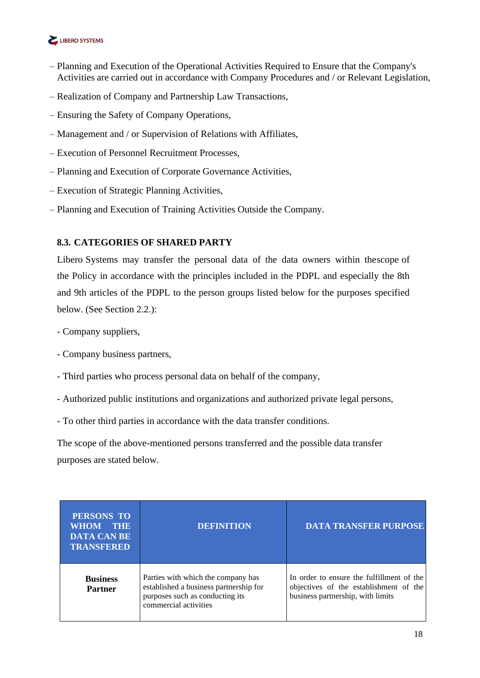

- Planning and Execution of the Operational Activities Required to Ensure that the Company's Activities are carried out in accordance with Company Procedures and / or Relevant Legislation,
- Realization of Company and Partnership Law Transactions,
- Ensuring the Safety of Company Operations,
- Management and / or Supervision of Relations with Affiliates,
- Execution of Personnel Recruitment Processes,
- Planning and Execution of Corporate Governance Activities,
- Execution of Strategic Planning Activities,
- Planning and Execution of Training Activities Outside the Company.

## <span id="page-17-0"></span>**8.3. CATEGORIES OF SHARED PARTY**

Libero Systems may transfer the personal data of the data owners within thescope of the Policy in accordance with the principles included in the PDPL and especially the 8th and 9th articles of the PDPL to the person groups listed below for the purposes specified below. (See Section 2.2.):

- Company suppliers,
- Company business partners,
- Third parties who process personal data on behalf of the company,
- Authorized public institutions and organizations and authorized private legal persons,
- To other third parties in accordance with the data transfer conditions.

The scope of the above-mentioned persons transferred and the possible data transfer purposes are stated below.

| PERSONS TO<br><b>WHOM</b><br><b>THE</b><br><b>DATA CAN BE</b><br><b>TRANSFERED</b> | <b>DEFINITION</b>                                                                                                                        | <b>DATA TRANSFER PURPOSE</b>                                                                                             |
|------------------------------------------------------------------------------------|------------------------------------------------------------------------------------------------------------------------------------------|--------------------------------------------------------------------------------------------------------------------------|
| <b>Business</b><br><b>Partner</b>                                                  | Parties with which the company has<br>established a business partnership for<br>purposes such as conducting its<br>commercial activities | In order to ensure the fulfillment of the<br>objectives of the establishment of the<br>business partnership, with limits |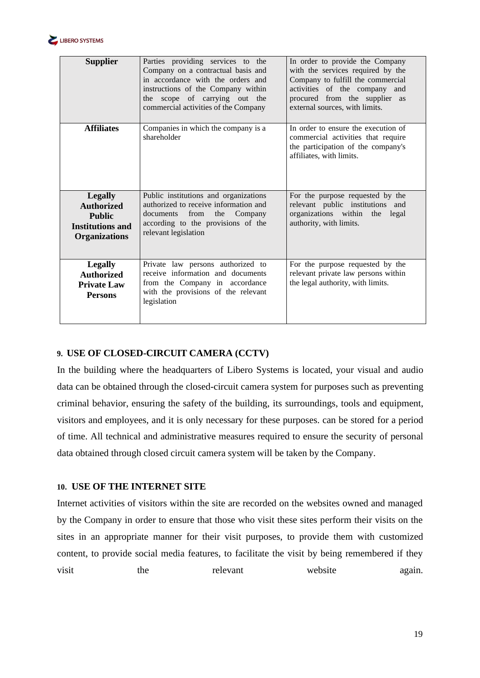

| <b>Supplier</b>                                                                                         | Parties providing services to the<br>Company on a contractual basis and<br>in accordance with the orders and<br>instructions of the Company within<br>the scope of carrying out the<br>commercial activities of the Company | In order to provide the Company<br>with the services required by the<br>Company to fulfill the commercial<br>activities of the company and<br>procured from the supplier as<br>external sources, with limits. |
|---------------------------------------------------------------------------------------------------------|-----------------------------------------------------------------------------------------------------------------------------------------------------------------------------------------------------------------------------|---------------------------------------------------------------------------------------------------------------------------------------------------------------------------------------------------------------|
| <b>Affiliates</b>                                                                                       | Companies in which the company is a<br>shareholder                                                                                                                                                                          | In order to ensure the execution of<br>commercial activities that require<br>the participation of the company's<br>affiliates, with limits.                                                                   |
| <b>Legally</b><br><b>Authorized</b><br><b>Public</b><br><b>Institutions and</b><br><b>Organizations</b> | Public institutions and organizations<br>authorized to receive information and<br>from<br>the<br>documents<br>Company<br>according to the provisions of the<br>relevant legislation                                         | For the purpose requested by the<br>relevant public institutions<br>and<br>organizations within the<br>legal<br>authority, with limits.                                                                       |
| <b>Legally</b><br><b>Authorized</b><br><b>Private Law</b><br><b>Persons</b>                             | Private law persons authorized to<br>receive information and documents<br>from the Company in accordance<br>with the provisions of the relevant<br>legislation                                                              | For the purpose requested by the<br>relevant private law persons within<br>the legal authority, with limits.                                                                                                  |

#### <span id="page-18-0"></span>**9. USE OF CLOSED-CIRCUIT CAMERA (CCTV)**

In the building where the headquarters of Libero Systems is located, your visual and audio data can be obtained through the closed-circuit camera system for purposes such as preventing criminal behavior, ensuring the safety of the building, its surroundings, tools and equipment, visitors and employees, and it is only necessary for these purposes. can be stored for a period of time. All technical and administrative measures required to ensure the security of personal data obtained through closed circuit camera system will be taken by the Company.

#### <span id="page-18-1"></span>**10. USE OF THE INTERNET SITE**

Internet activities of visitors within the site are recorded on the websites owned and managed by the Company in order to ensure that those who visit these sites perform their visits on the sites in an appropriate manner for their visit purposes, to provide them with customized content, to provide social media features, to facilitate the visit by being remembered if they visit the relevant website again.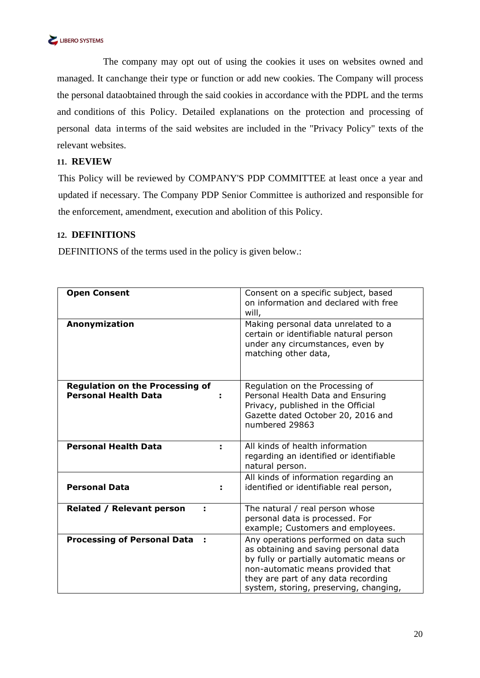

The company may opt out of using the cookies it uses on websites owned and managed. It canchange their type or function or add new cookies. The Company will process the personal dataobtained through the said cookies in accordance with the PDPL and the terms and conditions of this Policy. Detailed explanations on the protection and processing of personal data interms of the said websites are included in the "Privacy Policy" texts of the relevant websites.

#### <span id="page-19-0"></span>**11. REVIEW**

This Policy will be reviewed by COMPANY'S PDP COMMITTEE at least once a year and updated if necessary. The Company PDP Senior Committee is authorized and responsible for the enforcement, amendment, execution and abolition of this Policy.

#### <span id="page-19-1"></span>**12. DEFINITIONS**

DEFINITIONS of the terms used in the policy is given below.:

| <b>Open Consent</b>                                                   | Consent on a specific subject, based<br>on information and declared with free<br>will,                                                                                                                                                           |
|-----------------------------------------------------------------------|--------------------------------------------------------------------------------------------------------------------------------------------------------------------------------------------------------------------------------------------------|
| Anonymization                                                         | Making personal data unrelated to a<br>certain or identifiable natural person<br>under any circumstances, even by<br>matching other data,                                                                                                        |
| <b>Regulation on the Processing of</b><br><b>Personal Health Data</b> | Regulation on the Processing of<br>Personal Health Data and Ensuring<br>Privacy, published in the Official<br>Gazette dated October 20, 2016 and<br>numbered 29863                                                                               |
| <b>Personal Health Data</b>                                           | All kinds of health information<br>regarding an identified or identifiable<br>natural person.                                                                                                                                                    |
| <b>Personal Data</b>                                                  | All kinds of information regarding an<br>identified or identifiable real person,                                                                                                                                                                 |
| <b>Related / Relevant person</b>                                      | The natural / real person whose<br>personal data is processed. For<br>example; Customers and employees.                                                                                                                                          |
| <b>Processing of Personal Data</b>                                    | Any operations performed on data such<br>as obtaining and saving personal data<br>by fully or partially automatic means or<br>non-automatic means provided that<br>they are part of any data recording<br>system, storing, preserving, changing, |